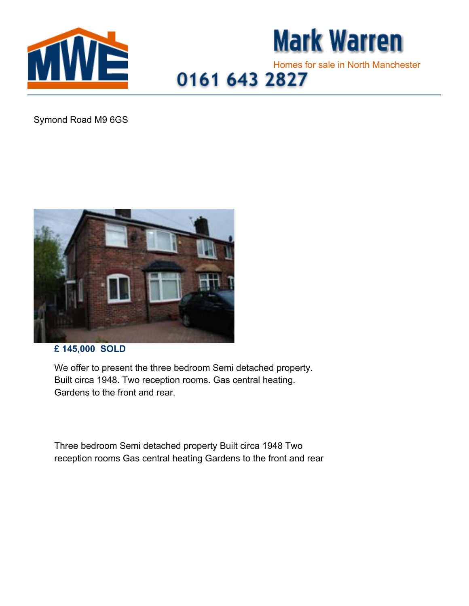



## Homes for sale in North Manchester<br>0161 643 2827

Symond Road M9 6GS



## **£ 145,000 SOLD**

We offer to present the three bedroom Semi detached property. Built circa 1948. Two reception rooms. Gas central heating. Gardens to the front and rear.

Three bedroom Semi detached property Built circa 1948 Two reception rooms Gas central heating Gardens to the front and rear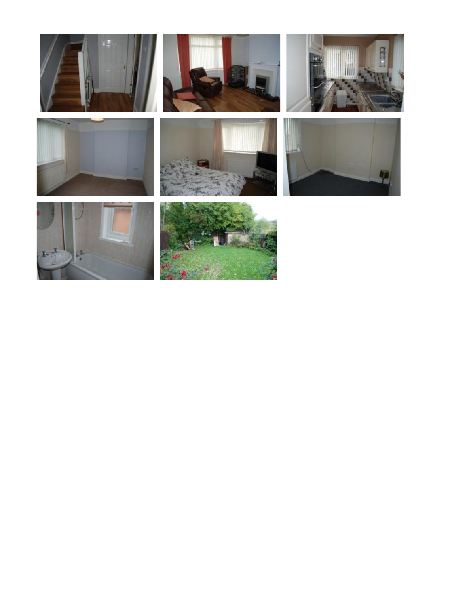